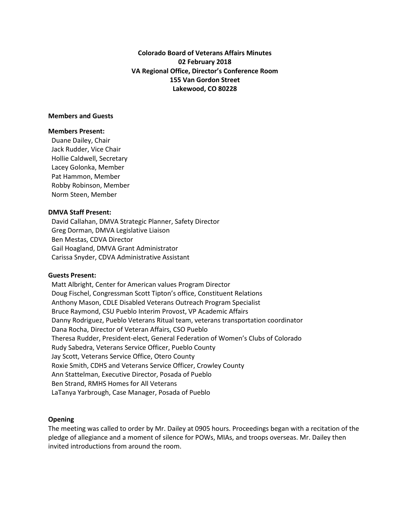**Colorado Board of Veterans Affairs Minutes 02 February 2018 VA Regional Office, Director's Conference Room 155 Van Gordon Street Lakewood, CO 80228**

#### **Members and Guests**

#### **Members Present:**

Duane Dailey, Chair Jack Rudder, Vice Chair Hollie Caldwell, Secretary Lacey Golonka, Member Pat Hammon, Member Robby Robinson, Member Norm Steen, Member

#### **DMVA Staff Present:**

 David Callahan, DMVA Strategic Planner, Safety Director Greg Dorman, DMVA Legislative Liaison Ben Mestas, CDVA Director Gail Hoagland, DMVA Grant Administrator Carissa Snyder, CDVA Administrative Assistant

#### **Guests Present:**

 Matt Albright, Center for American values Program Director Doug Fischel, Congressman Scott Tipton's office, Constituent Relations Anthony Mason, CDLE Disabled Veterans Outreach Program Specialist Bruce Raymond, CSU Pueblo Interim Provost, VP Academic Affairs Danny Rodriguez, Pueblo Veterans Ritual team, veterans transportation coordinator Dana Rocha, Director of Veteran Affairs, CSO Pueblo Theresa Rudder, President-elect, General Federation of Women's Clubs of Colorado Rudy Sabedra, Veterans Service Officer, Pueblo County Jay Scott, Veterans Service Office, Otero County Roxie Smith, CDHS and Veterans Service Officer, Crowley County Ann Stattelman, Executive Director, Posada of Pueblo Ben Strand, RMHS Homes for All Veterans LaTanya Yarbrough, Case Manager, Posada of Pueblo

# **Opening**

The meeting was called to order by Mr. Dailey at 0905 hours. Proceedings began with a recitation of the pledge of allegiance and a moment of silence for POWs, MIAs, and troops overseas. Mr. Dailey then invited introductions from around the room.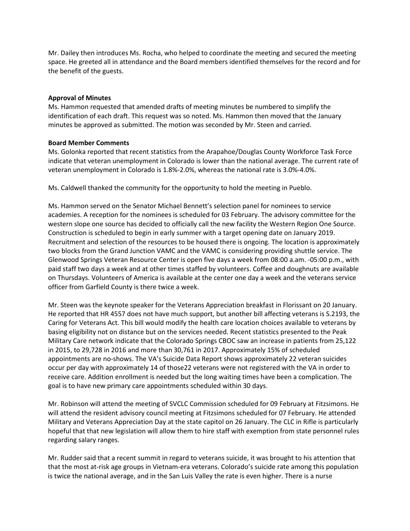Mr. Dailey then introduces Ms. Rocha, who helped to coordinate the meeting and secured the meeting space. He greeted all in attendance and the Board members identified themselves for the record and for the benefit of the guests.

# **Approval of Minutes**

Ms. Hammon requested that amended drafts of meeting minutes be numbered to simplify the identification of each draft. This request was so noted. Ms. Hammon then moved that the January minutes be approved as submitted. The motion was seconded by Mr. Steen and carried.

# **Board Member Comments**

Ms. Golonka reported that recent statistics from the Arapahoe/Douglas County Workforce Task Force indicate that veteran unemployment in Colorado is lower than the national average. The current rate of veteran unemployment in Colorado is 1.8%-2.0%, whereas the national rate is 3.0%-4.0%.

Ms. Caldwell thanked the community for the opportunity to hold the meeting in Pueblo.

Ms. Hammon served on the Senator Michael Bennett's selection panel for nominees to service academies. A reception for the nominees is scheduled for 03 February. The advisory committee for the western slope one source has decided to officially call the new facility the Western Region One Source. Construction is scheduled to begin in early summer with a target opening date on January 2019. Recruitment and selection of the resources to be housed there is ongoing. The location is approximately two blocks from the Grand Junction VAMC and the VAMC is considering providing shuttle service. The Glenwood Springs Veteran Resource Center is open five days a week from 08:00 a.am. -05:00 p.m., with paid staff two days a week and at other times staffed by volunteers. Coffee and doughnuts are available on Thursdays. Volunteers of America is available at the center one day a week and the veterans service officer from Garfield County is there twice a week.

Mr. Steen was the keynote speaker for the Veterans Appreciation breakfast in Florissant on 20 January. He reported that HR 4557 does not have much support, but another bill affecting veterans is S.2193, the Caring for Veterans Act. This bill would modify the health care location choices available to veterans by basing eligibility not on distance but on the services needed. Recent statistics presented to the Peak Military Care network indicate that the Colorado Springs CBOC saw an increase in patients from 25,122 in 2015, to 29,728 in 2016 and more than 30,761 in 2017. Approximately 15% of scheduled appointments are no-shows. The VA's Suicide Data Report shows approximately 22 veteran suicides occur per day with approximately 14 of those22 veterans were not registered with the VA in order to receive care. Addition enrollment is needed but the long waiting times have been a complication. The goal is to have new primary care appointments scheduled within 30 days.

Mr. Robinson will attend the meeting of SVCLC Commission scheduled for 09 February at Fitzsimons. He will attend the resident advisory council meeting at Fitzsimons scheduled for 07 February. He attended Military and Veterans Appreciation Day at the state capitol on 26 January. The CLC in Rifle is particularly hopeful that that new legislation will allow them to hire staff with exemption from state personnel rules regarding salary ranges.

Mr. Rudder said that a recent summit in regard to veterans suicide, it was brought to his attention that that the most at-risk age groups in Vietnam-era veterans. Colorado's suicide rate among this population is twice the national average, and in the San Luis Valley the rate is even higher. There is a nurse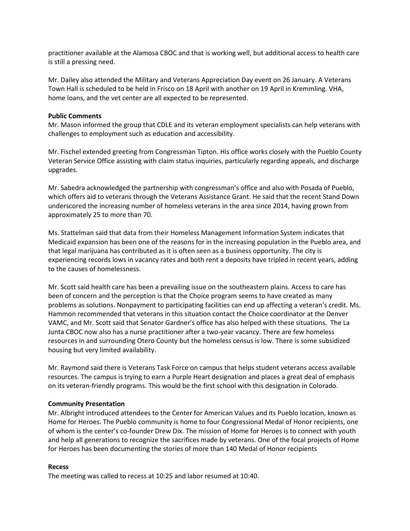practitioner available at the Alamosa CBOC and that is working well, but additional access to health care is still a pressing need.

Mr. Dailey also attended the Military and Veterans Appreciation Day event on 26 January. A Veterans Town Hall is scheduled to be held in Frisco on 18 April with another on 19 April in Kremmling. VHA, home loans, and the vet center are all expected to be represented.

## **Public Comments**

Mr. Mason informed the group that CDLE and its veteran employment specialists can help veterans with challenges to employment such as education and accessibility.

Mr. Fischel extended greeting from Congressman Tipton. His office works closely with the Pueblo County Veteran Service Office assisting with claim status inquiries, particularly regarding appeals, and discharge upgrades.

Mr. Sabedra acknowledged the partnership with congressman's office and also with Posada of Pueblo, which offers aid to veterans through the Veterans Assistance Grant. He said that the recent Stand Down underscored the increasing number of homeless veterans in the area since 2014, having grown from approximately 25 to more than 70.

Ms. Stattelman said that data from their Homeless Management Information System indicates that Medicaid expansion has been one of the reasons for in the increasing population in the Pueblo area, and that legal marijuana has contributed as it is often seen as a business opportunity. The city is experiencing records lows in vacancy rates and both rent a deposits have tripled in recent years, adding to the causes of homelessness.

Mr. Scott said health care has been a prevailing issue on the southeastern plains. Access to care has been of concern and the perception is that the Choice program seems to have created as many problems as solutions. Nonpayment to participating facilities can end up affecting a veteran's credit. Ms. Hammon recommended that veterans in this situation contact the Choice coordinator at the Denver VAMC, and Mr. Scott said that Senator Gardner's office has also helped with these situations. The La Junta CBOC now also has a nurse practitioner after a two-year vacancy. There are few homeless resources in and surrounding Otero County but the homeless census is low. There is some subsidized housing but very limited availability.

Mr. Raymond said there is Veterans Task Force on campus that helps student veterans access available resources. The campus is trying to earn a Purple Heart designation and places a great deal of emphasis on its veteran-friendly programs. This would be the first school with this designation in Colorado.

#### **Community Presentation**

Mr. Albright introduced attendees to the Center for American Values and its Pueblo location, known as Home for Heroes. The Pueblo community is home to four Congressional Medal of Honor recipients, one of whom is the center's co-founder Drew Dix. The mission of Home for Heroes is to connect with youth and help all generations to recognize the sacrifices made by veterans. One of the focal projects of Home for Heroes has been documenting the stories of more than 140 Medal of Honor recipients

#### **Recess**

The meeting was called to recess at 10:25 and labor resumed at 10:40.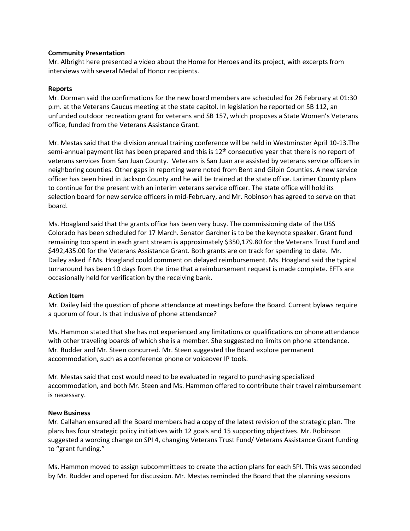## **Community Presentation**

Mr. Albright here presented a video about the Home for Heroes and its project, with excerpts from interviews with several Medal of Honor recipients.

## **Reports**

Mr. Dorman said the confirmations for the new board members are scheduled for 26 February at 01:30 p.m. at the Veterans Caucus meeting at the state capitol. In legislation he reported on SB 112, an unfunded outdoor recreation grant for veterans and SB 157, which proposes a State Women's Veterans office, funded from the Veterans Assistance Grant.

Mr. Mestas said that the division annual training conference will be held in Westminster April 10-13.The semi-annual payment list has been prepared and this is  $12<sup>th</sup>$  consecutive year that there is no report of veterans services from San Juan County. Veterans is San Juan are assisted by veterans service officers in neighboring counties. Other gaps in reporting were noted from Bent and Gilpin Counties. A new service officer has been hired in Jackson County and he will be trained at the state office. Larimer County plans to continue for the present with an interim veterans service officer. The state office will hold its selection board for new service officers in mid-February, and Mr. Robinson has agreed to serve on that board.

Ms. Hoagland said that the grants office has been very busy. The commissioning date of the USS Colorado has been scheduled for 17 March. Senator Gardner is to be the keynote speaker. Grant fund remaining too spent in each grant stream is approximately \$350,179.80 for the Veterans Trust Fund and \$492,435.00 for the Veterans Assistance Grant. Both grants are on track for spending to date. Mr. Dailey asked if Ms. Hoagland could comment on delayed reimbursement. Ms. Hoagland said the typical turnaround has been 10 days from the time that a reimbursement request is made complete. EFTs are occasionally held for verification by the receiving bank.

# **Action Item**

Mr. Dailey laid the question of phone attendance at meetings before the Board. Current bylaws require a quorum of four. Is that inclusive of phone attendance?

Ms. Hammon stated that she has not experienced any limitations or qualifications on phone attendance with other traveling boards of which she is a member. She suggested no limits on phone attendance. Mr. Rudder and Mr. Steen concurred. Mr. Steen suggested the Board explore permanent accommodation, such as a conference phone or voiceover IP tools.

Mr. Mestas said that cost would need to be evaluated in regard to purchasing specialized accommodation, and both Mr. Steen and Ms. Hammon offered to contribute their travel reimbursement is necessary.

# **New Business**

Mr. Callahan ensured all the Board members had a copy of the latest revision of the strategic plan. The plans has four strategic policy initiatives with 12 goals and 15 supporting objectives. Mr. Robinson suggested a wording change on SPI 4, changing Veterans Trust Fund/ Veterans Assistance Grant funding to "grant funding."

Ms. Hammon moved to assign subcommittees to create the action plans for each SPI. This was seconded by Mr. Rudder and opened for discussion. Mr. Mestas reminded the Board that the planning sessions